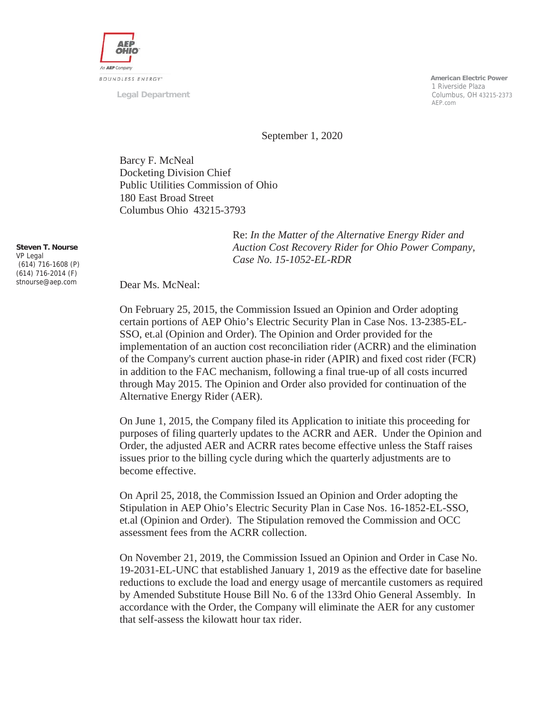

**Legal Department**

 **American Electric Power** 1 Riverside Plaza Columbus, OH 43215-2373 AEP.com

September 1, 2020

Barcy F. McNeal Docketing Division Chief Public Utilities Commission of Ohio 180 East Broad Street Columbus Ohio 43215-3793

> Re: *In the Matter of the Alternative Energy Rider and Auction Cost Recovery Rider for Ohio Power Company, Case No. 15-1052-EL-RDR*

**Steven T. Nourse** VP Legal (614) 716-1608 (P) (614) 716-2014 (F) stnourse@aep.com

Dear Ms. McNeal:

On February 25, 2015, the Commission Issued an Opinion and Order adopting certain portions of AEP Ohio's Electric Security Plan in Case Nos. 13-2385-EL-SSO, et.al (Opinion and Order). The Opinion and Order provided for the implementation of an auction cost reconciliation rider (ACRR) and the elimination of the Company's current auction phase-in rider (APIR) and fixed cost rider (FCR) in addition to the FAC mechanism, following a final true-up of all costs incurred through May 2015. The Opinion and Order also provided for continuation of the Alternative Energy Rider (AER).

On June 1, 2015, the Company filed its Application to initiate this proceeding for purposes of filing quarterly updates to the ACRR and AER. Under the Opinion and Order, the adjusted AER and ACRR rates become effective unless the Staff raises issues prior to the billing cycle during which the quarterly adjustments are to become effective.

On April 25, 2018, the Commission Issued an Opinion and Order adopting the Stipulation in AEP Ohio's Electric Security Plan in Case Nos. 16-1852-EL-SSO, et.al (Opinion and Order). The Stipulation removed the Commission and OCC assessment fees from the ACRR collection.

On November 21, 2019, the Commission Issued an Opinion and Order in Case No. 19-2031-EL-UNC that established January 1, 2019 as the effective date for baseline reductions to exclude the load and energy usage of mercantile customers as required by Amended Substitute House Bill No. 6 of the 133rd Ohio General Assembly. In accordance with the Order, the Company will eliminate the AER for any customer that self-assess the kilowatt hour tax rider.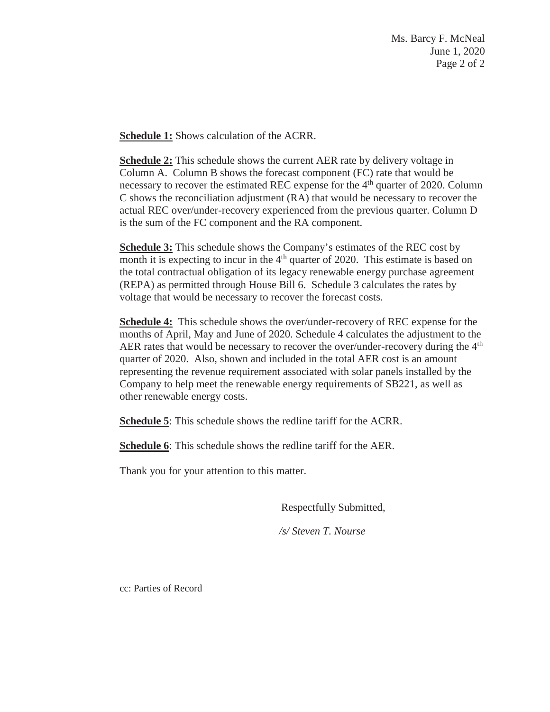Ms. Barcy F. McNeal June 1, 2020 Page 2 of 2

**Schedule 1:** Shows calculation of the ACRR.

**Schedule 2:** This schedule shows the current AER rate by delivery voltage in Column A. Column B shows the forecast component (FC) rate that would be necessary to recover the estimated REC expense for the 4<sup>th</sup> quarter of 2020. Column C shows the reconciliation adjustment (RA) that would be necessary to recover the actual REC over/under-recovery experienced from the previous quarter. Column D is the sum of the FC component and the RA component.

**Schedule 3:** This schedule shows the Company's estimates of the REC cost by month it is expecting to incur in the  $4<sup>th</sup>$  quarter of 2020. This estimate is based on the total contractual obligation of its legacy renewable energy purchase agreement (REPA) as permitted through House Bill 6. Schedule 3 calculates the rates by voltage that would be necessary to recover the forecast costs.

**Schedule 4:** This schedule shows the over/under-recovery of REC expense for the months of April, May and June of 2020. Schedule 4 calculates the adjustment to the AER rates that would be necessary to recover the over/under-recovery during the 4<sup>th</sup> quarter of 2020. Also, shown and included in the total AER cost is an amount representing the revenue requirement associated with solar panels installed by the Company to help meet the renewable energy requirements of SB221, as well as other renewable energy costs.

**Schedule 5**: This schedule shows the redline tariff for the ACRR.

**Schedule 6**: This schedule shows the redline tariff for the AER.

Thank you for your attention to this matter.

Respectfully Submitted,

*/s/ Steven T. Nourse*

cc: Parties of Record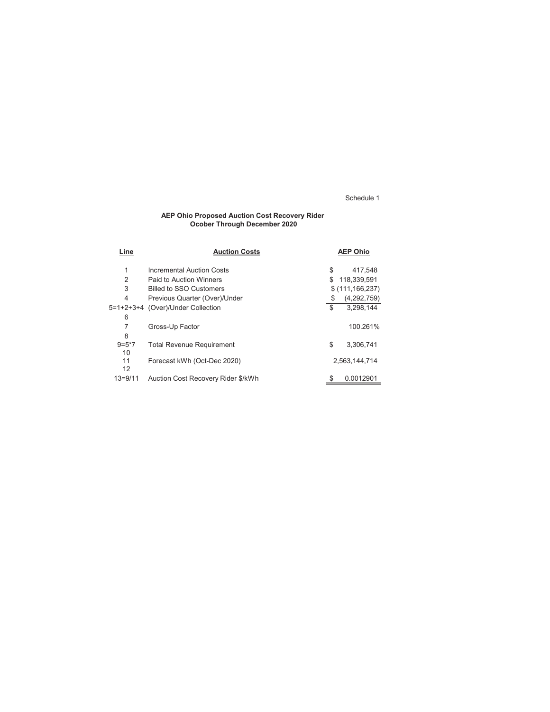#### AEP Ohio Proposed Auction Cost Recovery Rider Ocober Through December 2020

| Line           | <b>Auction Costs</b>               |    | <b>AEP Ohio</b>   |
|----------------|------------------------------------|----|-------------------|
| 1              | Incremental Auction Costs          | \$ | 417.548           |
| $\overline{2}$ | Paid to Auction Winners            | S  | 118,339,591       |
| 3              | <b>Billed to SSO Customers</b>     |    | \$(111, 166, 237) |
| $\overline{4}$ | Previous Quarter (Over)/Under      | \$ | (4,292,759)       |
|                | 5=1+2+3+4 (Over)/Under Collection  | \$ | 3.298.144         |
| 6              |                                    |    |                   |
| 7              | Gross-Up Factor                    |    | 100.261%          |
| 8              |                                    |    |                   |
| $9=5*7$        | <b>Total Revenue Requirement</b>   | \$ | 3,306,741         |
| 10             |                                    |    |                   |
| 11             | Forecast kWh (Oct-Dec 2020)        |    | 2.563.144.714     |
| 12             |                                    |    |                   |
| $13 = 9/11$    | Auction Cost Recovery Rider \$/kWh | \$ | 0.0012901         |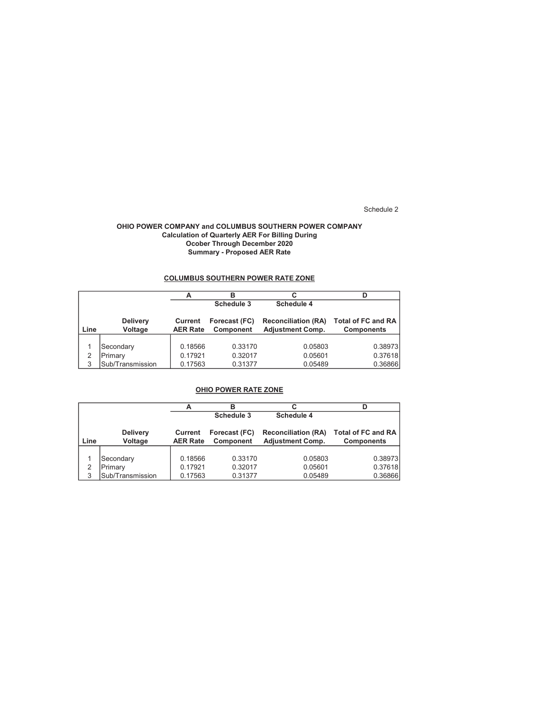### OHIO POWER COMPANY and COLUMBUS SOUTHERN POWER COMPANY Calculation of Quarterly AER For Billing During Ocober Through December 2020 Summary - Proposed AER Rate

## COLUMBUS SOUTHERN POWER RATE ZONE

|      |                            |                            | С<br>в                            |                                                       |                                                |  |  |
|------|----------------------------|----------------------------|-----------------------------------|-------------------------------------------------------|------------------------------------------------|--|--|
|      |                            |                            | Schedule 3                        | <b>Schedule 4</b>                                     |                                                |  |  |
| Line | <b>Delivery</b><br>Voltage | Current<br><b>AER Rate</b> | Forecast (FC)<br><b>Component</b> | <b>Reconciliation (RA)</b><br><b>Adjustment Comp.</b> | <b>Total of FC and RA</b><br><b>Components</b> |  |  |
|      | Secondary                  | 0.18566                    | 0.33170                           | 0.05803                                               | 0.38973                                        |  |  |
| 2    | Primary                    | 0.17921                    | 0.32017                           | 0.05601                                               | 0.37618                                        |  |  |
| 3    | Sub/Transmission           | 0.17563                    | 0.31377                           | 0.05489                                               | 0.36866                                        |  |  |

## OHIO POWER RATE ZONE

|      |                            |                            | в                          | С                                                     |                                                |
|------|----------------------------|----------------------------|----------------------------|-------------------------------------------------------|------------------------------------------------|
|      |                            |                            | Schedule 3                 | Schedule 4                                            |                                                |
| Line | <b>Delivery</b><br>Voltage | Current<br><b>AER Rate</b> | Forecast (FC)<br>Component | <b>Reconciliation (RA)</b><br><b>Adjustment Comp.</b> | <b>Total of FC and RA</b><br><b>Components</b> |
|      | Secondary                  | 0.18566                    | 0.33170                    | 0.05803                                               | 0.38973                                        |
| 2    | Primary                    | 0.17921                    | 0.32017                    | 0.05601                                               | 0.37618                                        |
| 3    | Sub/Transmission           | 0.17563                    | 0.31377                    | 0.05489                                               | 0.36866                                        |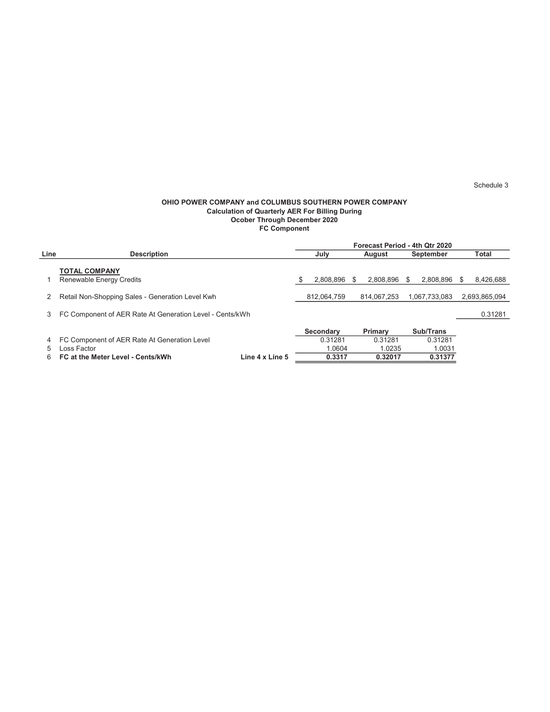### OHIO POWER COMPANY and COLUMBUS SOUTHERN POWER COMPANY Calculation of Quarterly AER For Billing During Ocober Through December 2020 FC Component

|      |                                                          |                 | Forecast Period - 4th Qtr 2020 |                  |        |             |                  |               |       |               |
|------|----------------------------------------------------------|-----------------|--------------------------------|------------------|--------|-------------|------------------|---------------|-------|---------------|
| Line | <b>Description</b>                                       |                 | July                           |                  | August |             | <b>September</b> |               | Total |               |
|      | <b>TOTAL COMPANY</b><br>Renewable Energy Credits         |                 | S                              | 2.808.896        | \$.    | 2.808.896   | S.               | 2.808.896     | S.    | 8,426,688     |
|      | Retail Non-Shopping Sales - Generation Level Kwh         |                 | 812,064,759                    |                  |        | 814.067.253 |                  | 1.067.733.083 |       | 2,693,865,094 |
| 3    | FC Component of AER Rate At Generation Level - Cents/kWh |                 |                                |                  |        |             |                  |               |       | 0.31281       |
|      |                                                          |                 |                                | <b>Secondary</b> |        | Primary     |                  | Sub/Trans     |       |               |
| 4    | FC Component of AER Rate At Generation Level             |                 |                                | 0.31281          |        | 0.31281     |                  | 0.31281       |       |               |
| 5    | ∟oss Factor                                              |                 |                                | 1.0604           |        | 1.0235      |                  | 1.0031        |       |               |
| 6    | FC at the Meter Level - Cents/kWh                        | Line 4 x Line 5 |                                | 0.3317           |        | 0.32017     |                  | 0.31377       |       |               |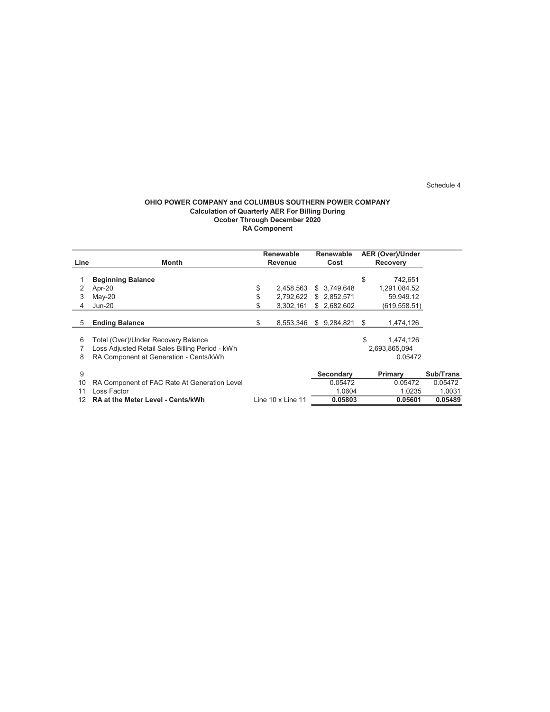### OHIO POWER COMPANY and COLUMBUS SOUTHERN POWER COMPANY Calculation of Quarterly AER For Billing During Ocober Through December 2020 RA Component

|      |                                                 | <b>Renewable</b>  |    | <b>Renewable</b> | <b>AER (Over)/Under</b> |           |
|------|-------------------------------------------------|-------------------|----|------------------|-------------------------|-----------|
| Line | Month                                           | Revenue           |    | Cost             | <b>Recovery</b>         |           |
|      |                                                 |                   |    |                  |                         |           |
|      | <b>Beginning Balance</b>                        |                   |    |                  | \$<br>742,651           |           |
|      | Apr-20                                          | \$<br>2.458.563   |    | \$3.749.648      | 1,291,084.52            |           |
| 3    | $May-20$                                        | \$<br>2,792,622   |    | \$2,852,571      | 59,949.12               |           |
| 4    | <b>Jun-20</b>                                   | \$<br>3,302,161   |    | \$2,682,602      | (619,558.51)            |           |
|      |                                                 |                   |    |                  |                         |           |
| 5    | <b>Ending Balance</b>                           | \$<br>8.553.346   | S. | 9,284,821        | \$<br>1,474,126         |           |
|      |                                                 |                   |    |                  |                         |           |
| 6    | Total (Over)/Under Recovery Balance             |                   |    |                  | \$<br>1,474,126         |           |
|      | Loss Adjusted Retail Sales Billing Period - kWh |                   |    |                  | 2,693,865,094           |           |
| 8    | RA Component at Generation - Cents/kWh          |                   |    |                  | 0.05472                 |           |
|      |                                                 |                   |    |                  |                         |           |
| 9    |                                                 |                   |    | Secondary        | Primary                 | Sub/Trans |
| 10   | RA Component of FAC Rate At Generation Level    |                   |    | 0.05472          | 0.05472                 | 0.05472   |
| 11   | Loss Factor                                     |                   |    | 1.0604           | 1.0235                  | 1.0031    |
| 12   | <b>RA at the Meter Level - Cents/kWh</b>        | Line 10 x Line 11 |    | 0.05803          | 0.05601                 | 0.05489   |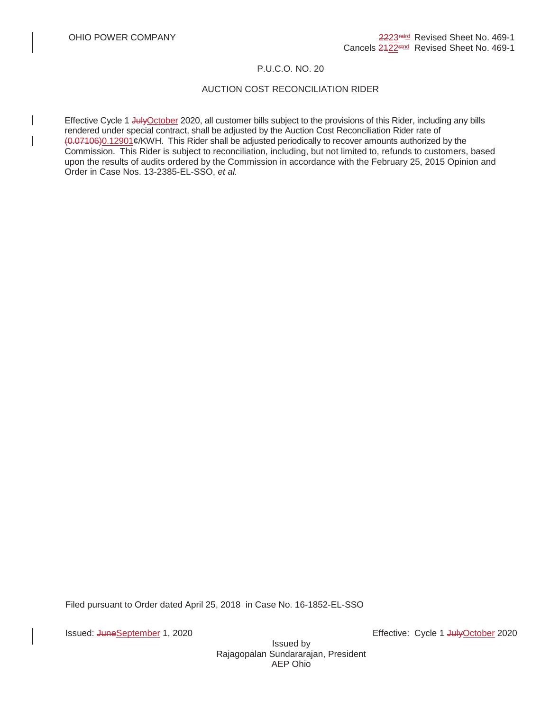## P.U.C.O. NO. 20

# AUCTION COST RECONCILIATION RIDER

Effective Cycle 1 JulyOctober 2020, all customer bills subject to the provisions of this Rider, including any bills rendered under special contract, shall be adjusted by the Auction Cost Reconciliation Rider rate of (0.07106)0.12901¢/KWH. This Rider shall be adjusted periodically to recover amounts authorized by the Commission. This Rider is subject to reconciliation, including, but not limited to, refunds to customers, based upon the results of audits ordered by the Commission in accordance with the February 25, 2015 Opinion and Order in Case Nos. 13-2385-EL-SSO, *et al.*

Filed pursuant to Order dated April 25, 2018 in Case No. 16-1852-EL-SSO

Issued: JuneSeptember 1, 2020 Effective: Cycle 1 JulyOctober 2020

Issued by Rajagopalan Sundararajan, President AEP Ohio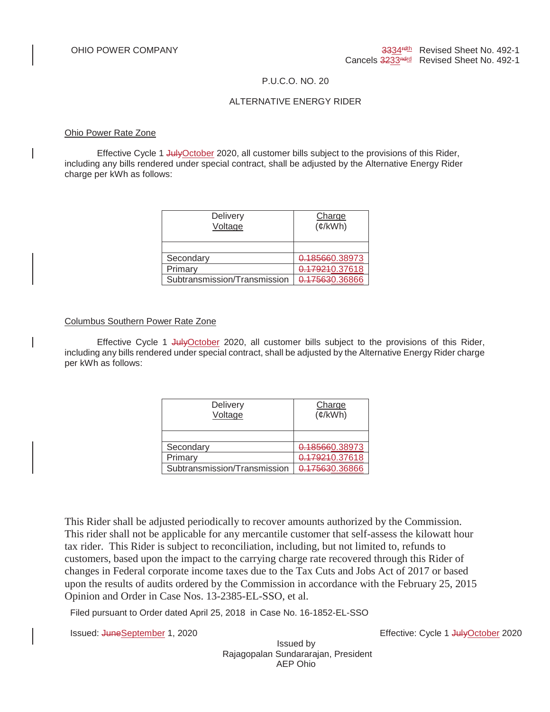## P.U.C.O. NO. 20

## ALTERNATIVE ENERGY RIDER

### Ohio Power Rate Zone

Effective Cycle 1 July October 2020, all customer bills subject to the provisions of this Rider, including any bills rendered under special contract, shall be adjusted by the Alternative Energy Rider charge per kWh as follows:

| <b>Delivery</b><br>Voltage   | Charge<br>$(\phi$ /kWh) |
|------------------------------|-------------------------|
|                              |                         |
| Secondary                    | 0.185660.38973          |
| Primary                      | 0.179210.37618          |
| Subtransmission/Transmission | 0.175630.36866          |

## Columbus Southern Power Rate Zone

Effective Cycle 1 JulyOctober 2020, all customer bills subject to the provisions of this Rider, including any bills rendered under special contract, shall be adjusted by the Alternative Energy Rider charge per kWh as follows:

| <b>Delivery</b><br>Voltage   | Charge<br>$(\phi/kWh)$ |
|------------------------------|------------------------|
|                              |                        |
| Secondary                    | 0.185660.38973         |
| Primary                      | 0.179210.37618         |
| Subtransmission/Transmission | 0.175630.36866         |

This Rider shall be adjusted periodically to recover amounts authorized by the Commission. This rider shall not be applicable for any mercantile customer that self-assess the kilowatt hour tax rider. This Rider is subject to reconciliation, including, but not limited to, refunds to customers, based upon the impact to the carrying charge rate recovered through this Rider of changes in Federal corporate income taxes due to the Tax Cuts and Jobs Act of 2017 or based upon the results of audits ordered by the Commission in accordance with the February 25, 2015 Opinion and Order in Case Nos. 13-2385-EL-SSO, et al.

Filed pursuant to Order dated April 25, 2018 in Case No. 16-1852-EL-SSO

Issued: JuneSeptember 1, 2020 Effective: Cycle 1 JulyOctober 2020

Issued by Rajagopalan Sundararajan, President AEP Ohio